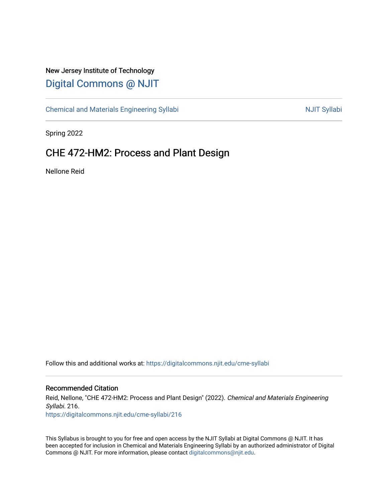## New Jersey Institute of Technology [Digital Commons @ NJIT](https://digitalcommons.njit.edu/)

[Chemical and Materials Engineering Syllabi](https://digitalcommons.njit.edu/cme-syllabi) Nulle and Syllabi Nulle Syllabi Nulle Syllabi Nulle Syllabi Nulle Syllabi

Spring 2022

# CHE 472-HM2: Process and Plant Design

Nellone Reid

Follow this and additional works at: [https://digitalcommons.njit.edu/cme-syllabi](https://digitalcommons.njit.edu/cme-syllabi?utm_source=digitalcommons.njit.edu%2Fcme-syllabi%2F216&utm_medium=PDF&utm_campaign=PDFCoverPages) 

#### Recommended Citation

Reid, Nellone, "CHE 472-HM2: Process and Plant Design" (2022). Chemical and Materials Engineering Syllabi. 216. [https://digitalcommons.njit.edu/cme-syllabi/216](https://digitalcommons.njit.edu/cme-syllabi/216?utm_source=digitalcommons.njit.edu%2Fcme-syllabi%2F216&utm_medium=PDF&utm_campaign=PDFCoverPages) 

This Syllabus is brought to you for free and open access by the NJIT Syllabi at Digital Commons @ NJIT. It has been accepted for inclusion in Chemical and Materials Engineering Syllabi by an authorized administrator of Digital Commons @ NJIT. For more information, please contact [digitalcommons@njit.edu.](mailto:digitalcommons@njit.edu)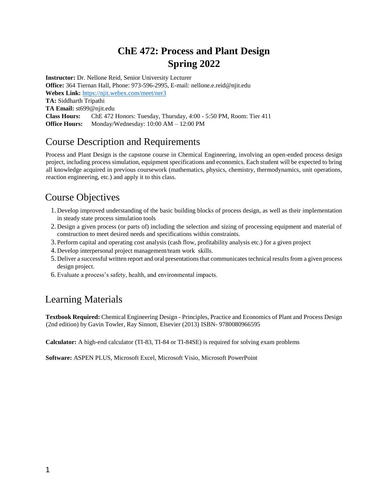# **ChE 472: Process and Plant Design Spring 2022**

**Instructor:** Dr. Nellone Reid, Senior University Lecturer **Office:** 364 Tiernan Hall, Phone: 973-596-2995, E-mail: nellone.e.reid@njit.edu **Webex Link:** <https://njit.webex.com/meet/ner3> **TA:** Siddharth Tripathi **TA Email:** st699@njit.edu **Class Hours:** ChE 472 Honors: Tuesday, Thursday, 4:00 - 5:50 PM, Room: Tier 411 **Office Hours:** Monday/Wednesday: 10:00 AM – 12:00 PM

# Course Description and Requirements

Process and Plant Design is the capstone course in Chemical Engineering, involving an open-ended process design project, including process simulation, equipment specifications and economics. Each student will be expected to bring all knowledge acquired in previous coursework (mathematics, physics, chemistry, thermodynamics, unit operations, reaction engineering, etc.) and apply it to this class.

# Course Objectives

- 1. Develop improved understanding of the basic building blocks of process design, as well as their implementation in steady state process simulation tools
- 2. Design a given process (or parts of) including the selection and sizing of processing equipment and material of construction to meet desired needs and specifications within constraints.
- 3. Perform capital and operating cost analysis (cash flow, profitability analysis etc.) for a given project
- 4. Develop interpersonal project management/team work skills.
- 5. Deliver a successful written report and oral presentations that communicates technical results from a given process design project.
- 6. Evaluate a process's safety, health, and environmental impacts.

## Learning Materials

**Textbook Required:** Chemical Engineering Design - Principles, Practice and Economics of Plant and Process Design (2nd edition) by Gavin Towler, Ray Sinnott, Elsevier (2013) ISBN- 9780080966595

**Calculator:** A high-end calculator (TI-83, TI-84 or TI-84SE) is required for solving exam problems

**Software:** ASPEN PLUS, Microsoft Excel, Microsoft Visio, Microsoft PowerPoint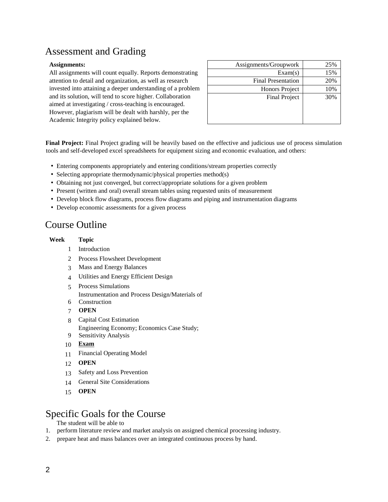# Assessment and Grading

#### Assignments:

All assignments will count equally. Reports demonstrating attention to detail and organization, as well as research invested into attaining a deeper understanding of a problem and its solution, will tend to score higher. Collaboration aimed at investigating / cross-teaching is encouraged. However, plagiarism will be dealt with harshly, per the Academic Integrity policy explained below.

| Assignments/Groupwork     | 25% |
|---------------------------|-----|
| Exam(s)                   | 15% |
| <b>Final Presentation</b> | 20% |
| Honors Project            | 10% |
| <b>Final Project</b>      | 30% |
|                           |     |
|                           |     |
|                           |     |

**Final Project:** Final Project grading will be heavily based on the effective and judicious use of process simulation tools and self-developed excel spreadsheets for equipment sizing and economic evaluation, and others:

- Entering components appropriately and entering conditions/stream properties correctly
- Selecting appropriate thermodynamic/physical properties method(s)
- Obtaining not just converged, but correct/appropriate solutions for a given problem
- Present (written and oral) overall stream tables using requested units of measurement
- Develop block flow diagrams, process flow diagrams and piping and instrumentation diagrams
- Develop economic assessments for a given process

# Course Outline

#### **Week Topic**

- 1 Introduction
- 2 Process Flowsheet Development
- 3 Mass and Energy Balances
- 4 Utilities and Energy Efficient Design
- 5 Process Simulations
	- Instrumentation and Process Design/Materials of
- 6 Construction
- 7 **OPEN**
- 8 Capital Cost Estimation
	- Engineering Economy; Economics Case Study;
- 9 Sensitivity Analysis
- 10 **Exam**
- 11 Financial Operating Model
- 12 **OPEN**
- 13 Safety and Loss Prevention
- 14 General Site Considerations
- 15 **OPEN**

### Specific Goals for the Course

The student will be able to

- 1. perform literature review and market analysis on assigned chemical processing industry.
- 2. prepare heat and mass balances over an integrated continuous process by hand.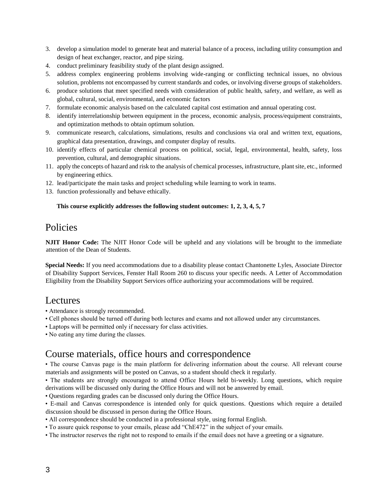- 3. develop a simulation model to generate heat and material balance of a process, including utility consumption and design of heat exchanger, reactor, and pipe sizing.
- 4. conduct preliminary feasibility study of the plant design assigned.
- 5. address complex engineering problems involving wide-ranging or conflicting technical issues, no obvious solution, problems not encompassed by current standards and codes, or involving diverse groups of stakeholders.
- 6. produce solutions that meet specified needs with consideration of public health, safety, and welfare, as well as global, cultural, social, environmental, and economic factors
- 7. formulate economic analysis based on the calculated capital cost estimation and annual operating cost.
- 8. identify interrelationship between equipment in the process, economic analysis, process/equipment constraints, and optimization methods to obtain optimum solution.
- 9. communicate research, calculations, simulations, results and conclusions via oral and written text, equations, graphical data presentation, drawings, and computer display of results.
- 10. identify effects of particular chemical process on political, social, legal, environmental, health, safety, loss prevention, cultural, and demographic situations.
- 11. apply the concepts of hazard and risk to the analysis of chemical processes, infrastructure, plant site, etc., informed by engineering ethics.
- 12. lead/participate the main tasks and project scheduling while learning to work in teams.
- 13. function professionally and behave ethically.

#### **This course explicitly addresses the following student outcomes: 1, 2, 3, 4, 5, 7**

## Policies

**NJIT Honor Code:** The NJIT Honor Code will be upheld and any violations will be brought to the immediate attention of the Dean of Students.

**Special Needs:** If you need accommodations due to a disability please contact Chantonette Lyles, Associate Director of Disability Support Services, Fenster Hall Room 260 to discuss your specific needs. A Letter of Accommodation Eligibility from the Disability Support Services office authorizing your accommodations will be required.

### Lectures

- Attendance is strongly recommended.
- Cell phones should be turned off during both lectures and exams and not allowed under any circumstances.
- Laptops will be permitted only if necessary for class activities.
- No eating any time during the classes.

## Course materials, office hours and correspondence

• The course Canvas page is the main platform for delivering information about the course. All relevant course materials and assignments will be posted on Canvas, so a student should check it regularly.

• The students are strongly encouraged to attend Office Hours held bi-weekly. Long questions, which require derivations will be discussed only during the Office Hours and will not be answered by email.

- Questions regarding grades can be discussed only during the Office Hours.
- E-mail and Canvas correspondence is intended only for quick questions. Questions which require a detailed discussion should be discussed in person during the Office Hours.
- All correspondence should be conducted in a professional style, using formal English.
- To assure quick response to your emails, please add "ChE472" in the subject of your emails.
- The instructor reserves the right not to respond to emails if the email does not have a greeting or a signature.